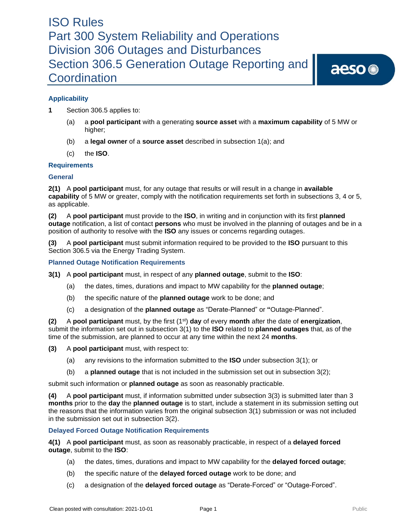aeso<sup>®</sup>

### **Applicability**

- **1** Section 306.5 applies to:
	- (a) a **pool participant** with a generating **source asset** with a **maximum capability** of 5 MW or higher;
	- (b) a **legal owner** of a **source asset** described in subsection 1(a); and
	- (c) the **ISO**.

### **Requirements**

### **General**

**2(1)** A **pool participant** must, for any outage that results or will result in a change in **available capability** of 5 MW or greater, comply with the notification requirements set forth in subsections 3, 4 or 5, as applicable.

**(2)** A **pool participant** must provide to the **ISO**, in writing and in conjunction with its first **planned outage** notification, a list of contact **persons** who must be involved in the planning of outages and be in a position of authority to resolve with the **ISO** any issues or concerns regarding outages.

**(3)** A **pool participant** must submit information required to be provided to the **ISO** pursuant to this Section 306.5 via the Energy Trading System.

### **Planned Outage Notification Requirements**

- **3(1)** A **pool participant** must, in respect of any **planned outage**, submit to the **ISO**:
	- (a) the dates, times, durations and impact to MW capability for the **planned outage**;
	- (b) the specific nature of the **planned outage** work to be done; and
	- (c) a designation of the **planned outage** as "Derate-Planned" or **"**Outage-Planned".

**(2)** A **pool participant** must, by the first (1st) **day** of every **month** after the date of **energization**, submit the information set out in subsection 3(1) to the **ISO** related to **planned outages** that, as of the time of the submission, are planned to occur at any time within the next 24 **months**.

**(3)** A **pool participant** must, with respect to:

- (a) any revisions to the information submitted to the **ISO** under subsection 3(1); or
- (b) a **planned outage** that is not included in the submission set out in subsection 3(2);

submit such information or **planned outage** as soon as reasonably practicable.

**(4)** A **pool participant** must, if information submitted under subsection 3(3) is submitted later than 3 **months** prior to the **day** the **planned outage** is to start, include a statement in its submission setting out the reasons that the information varies from the original subsection 3(1) submission or was not included in the submission set out in subsection 3(2).

### **Delayed Forced Outage Notification Requirements**

**4(1)** A **pool participant** must, as soon as reasonably practicable, in respect of a **delayed forced outage**, submit to the **ISO**:

- (a) the dates, times, durations and impact to MW capability for the **delayed forced outage**;
- (b) the specific nature of the **delayed forced outage** work to be done; and
- (c) a designation of the **delayed forced outage** as "Derate-Forced" or "Outage-Forced".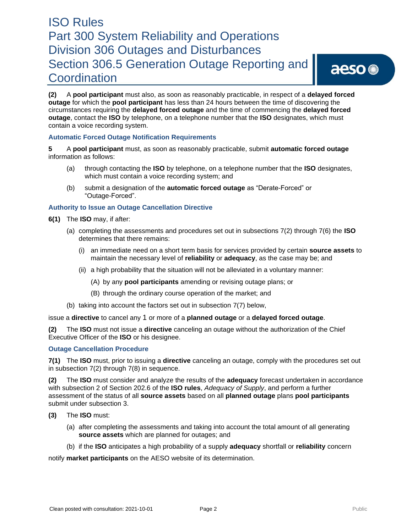aeso<sup>®</sup>

**(2)** A **pool participant** must also, as soon as reasonably practicable, in respect of a **delayed forced outage** for which the **pool participant** has less than 24 hours between the time of discovering the circumstances requiring the **delayed forced outage** and the time of commencing the **delayed forced outage**, contact the **ISO** by telephone, on a telephone number that the **ISO** designates, which must contain a voice recording system.

### **Automatic Forced Outage Notification Requirements**

**5** A **pool participant** must, as soon as reasonably practicable, submit **automatic forced outage** information as follows:

- (a) through contacting the **ISO** by telephone, on a telephone number that the **ISO** designates, which must contain a voice recording system; and
- (b) submit a designation of the **automatic forced outage** as "Derate-Forced" or "Outage-Forced".

### **Authority to Issue an Outage Cancellation Directive**

- **6(1)** The **ISO** may, if after:
	- (a) completing the assessments and procedures set out in subsections 7(2) through 7(6) the **ISO**  determines that there remains:
		- (i) an immediate need on a short term basis for services provided by certain **source assets** to maintain the necessary level of **reliability** or **adequacy**, as the case may be; and
		- (ii) a high probability that the situation will not be alleviated in a voluntary manner:
			- (A) by any **pool participants** amending or revising outage plans; or
			- (B) through the ordinary course operation of the market; and
	- (b) taking into account the factors set out in subsection 7(7) below,

issue a **directive** to cancel any 1 or more of a **planned outage** or a **delayed forced outage**.

**(2)** The **ISO** must not issue a **directive** canceling an outage without the authorization of the Chief Executive Officer of the **ISO** or his designee.

### **Outage Cancellation Procedure**

**7(1)** The **ISO** must, prior to issuing a **directive** canceling an outage, comply with the procedures set out in subsection 7(2) through 7(8) in sequence.

**(2)** The **ISO** must consider and analyze the results of the **adequacy** forecast undertaken in accordance with subsection 2 of Section 202.6 of the **ISO rules**, *Adequacy of Supply*, and perform a further assessment of the status of all **source assets** based on all **planned outage** plans **pool participants**  submit under subsection 3.

- **(3)** The **ISO** must:
	- (a) after completing the assessments and taking into account the total amount of all generating **source assets** which are planned for outages; and
	- (b) if the **ISO** anticipates a high probability of a supply **adequacy** shortfall or **reliability** concern

notify **market participants** on the AESO website of its determination.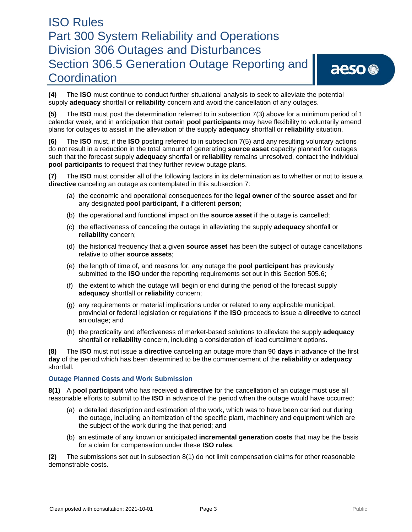aeso<sup>®</sup>

**(4)** The **ISO** must continue to conduct further situational analysis to seek to alleviate the potential supply **adequacy** shortfall or **reliability** concern and avoid the cancellation of any outages.

**(5)** The **ISO** must post the determination referred to in subsection 7(3) above for a minimum period of 1 calendar week, and in anticipation that certain **pool participants** may have flexibility to voluntarily amend plans for outages to assist in the alleviation of the supply **adequacy** shortfall or **reliability** situation.

**(6)** The **ISO** must, if the **ISO** posting referred to in subsection 7(5) and any resulting voluntary actions do not result in a reduction in the total amount of generating **source asset** capacity planned for outages such that the forecast supply **adequacy** shortfall or **reliability** remains unresolved, contact the individual **pool participants** to request that they further review outage plans.

**(7)** The **ISO** must consider all of the following factors in its determination as to whether or not to issue a **directive** canceling an outage as contemplated in this subsection 7:

- (a) the economic and operational consequences for the **legal owner** of the **source asset** and for any designated **pool participant**, if a different **person**;
- (b) the operational and functional impact on the **source asset** if the outage is cancelled;
- (c) the effectiveness of canceling the outage in alleviating the supply **adequacy** shortfall or **reliability** concern;
- (d) the historical frequency that a given **source asset** has been the subject of outage cancellations relative to other **source assets**;
- (e) the length of time of, and reasons for, any outage the **pool participant** has previously submitted to the **ISO** under the reporting requirements set out in this Section 505.6;
- (f) the extent to which the outage will begin or end during the period of the forecast supply **adequacy** shortfall or **reliability** concern;
- (g) any requirements or material implications under or related to any applicable municipal, provincial or federal legislation or regulations if the **ISO** proceeds to issue a **directive** to cancel an outage; and
- (h) the practicality and effectiveness of market-based solutions to alleviate the supply **adequacy**  shortfall or **reliability** concern, including a consideration of load curtailment options.

**(8)** The **ISO** must not issue a **directive** canceling an outage more than 90 **days** in advance of the first **day** of the period which has been determined to be the commencement of the **reliability** or **adequacy**  shortfall.

### **Outage Planned Costs and Work Submission**

**8(1)** A **pool participant** who has received a **directive** for the cancellation of an outage must use all reasonable efforts to submit to the **ISO** in advance of the period when the outage would have occurred:

- (a) a detailed description and estimation of the work, which was to have been carried out during the outage, including an itemization of the specific plant, machinery and equipment which are the subject of the work during the that period; and
- (b) an estimate of any known or anticipated **incremental generation costs** that may be the basis for a claim for compensation under these **ISO rules**.

**(2)** The submissions set out in subsection 8(1) do not limit compensation claims for other reasonable demonstrable costs.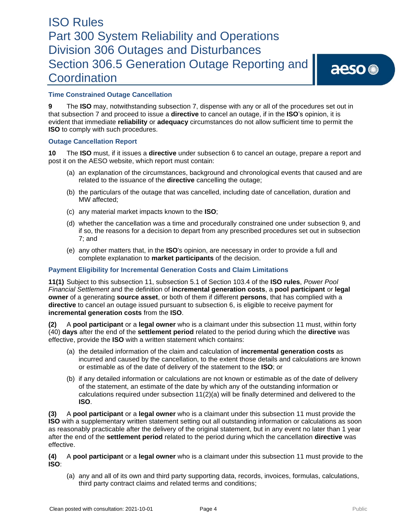aeso<sup>®</sup>

### **Time Constrained Outage Cancellation**

**9** The **ISO** may, notwithstanding subsection 7, dispense with any or all of the procedures set out in that subsection 7 and proceed to issue a **directive** to cancel an outage, if in the **ISO**'s opinion, it is evident that immediate **reliability** or **adequacy** circumstances do not allow sufficient time to permit the **ISO** to comply with such procedures.

### **Outage Cancellation Report**

**10** The **ISO** must, if it issues a **directive** under subsection 6 to cancel an outage, prepare a report and post it on the AESO website, which report must contain:

- (a) an explanation of the circumstances, background and chronological events that caused and are related to the issuance of the **directive** cancelling the outage;
- (b) the particulars of the outage that was cancelled, including date of cancellation, duration and MW affected;
- (c) any material market impacts known to the **ISO**;
- (d) whether the cancellation was a time and procedurally constrained one under subsection 9, and if so, the reasons for a decision to depart from any prescribed procedures set out in subsection 7; and
- (e) any other matters that, in the **ISO**'s opinion, are necessary in order to provide a full and complete explanation to **market participants** of the decision.

### **Payment Eligibility for Incremental Generation Costs and Claim Limitations**

**11(1)** Subject to this subsection 11, subsection 5.1 of Section 103.4 of the **ISO rules**, *Power Pool Financial Settlement* and the definition of **incremental generation costs**, a **pool participant** or **legal owner** of a generating **source asset**, or both of them if different **persons**, that has complied with a **directive** to cancel an outage issued pursuant to subsection 6, is eligible to receive payment for **incremental generation costs** from the **ISO**.

**(2)** A **pool participant** or a **legal owner** who is a claimant under this subsection 11 must, within forty (40) **days** after the end of the **settlement period** related to the period during which the **directive** was effective, provide the **ISO** with a written statement which contains:

- (a) the detailed information of the claim and calculation of **incremental generation costs** as incurred and caused by the cancellation, to the extent those details and calculations are known or estimable as of the date of delivery of the statement to the **ISO**; or
- (b) if any detailed information or calculations are not known or estimable as of the date of delivery of the statement, an estimate of the date by which any of the outstanding information or calculations required under subsection 11(2)(a) will be finally determined and delivered to the **ISO**.

**(3)** A **pool participant** or a **legal owner** who is a claimant under this subsection 11 must provide the **ISO** with a supplementary written statement setting out all outstanding information or calculations as soon as reasonably practicable after the delivery of the original statement, but in any event no later than 1 year after the end of the **settlement period** related to the period during which the cancellation **directive** was effective.

**(4)** A **pool participant** or a **legal owner** who is a claimant under this subsection 11 must provide to the **ISO**:

(a) any and all of its own and third party supporting data, records, invoices, formulas, calculations, third party contract claims and related terms and conditions;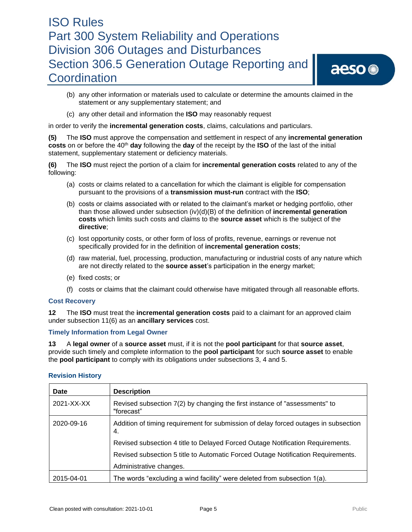aeso<sup>®</sup>

- (b) any other information or materials used to calculate or determine the amounts claimed in the statement or any supplementary statement; and
- (c) any other detail and information the **ISO** may reasonably request

in order to verify the **incremental generation costs**, claims, calculations and particulars.

**(5)** The **ISO** must approve the compensation and settlement in respect of any **incremental generation costs** on or before the 40<sup>th</sup> **day** following the **day** of the receipt by the **ISO** of the last of the initial statement, supplementary statement or deficiency materials.

**(6)** The **ISO** must reject the portion of a claim for **incremental generation costs** related to any of the following:

- (a) costs or claims related to a cancellation for which the claimant is eligible for compensation pursuant to the provisions of a **transmission must-run** contract with the **ISO**;
- (b) costs or claims associated with or related to the claimant's market or hedging portfolio, other than those allowed under subsection (iv)(d)(B) of the definition of **incremental generation costs** which limits such costs and claims to the **source asset** which is the subject of the **directive**;
- (c) lost opportunity costs, or other form of loss of profits, revenue, earnings or revenue not specifically provided for in the definition of **incremental generation costs**;
- (d) raw material, fuel, processing, production, manufacturing or industrial costs of any nature which are not directly related to the **source asset**'s participation in the energy market;
- (e) fixed costs; or
- (f) costs or claims that the claimant could otherwise have mitigated through all reasonable efforts.

#### **Cost Recovery**

**12** The **ISO** must treat the **incremental generation costs** paid to a claimant for an approved claim under subsection 11(6) as an **ancillary services** cost.

#### **Timely Information from Legal Owner**

**13** A **legal owner** of a **source asset** must, if it is not the **pool participant** for that **source asset**, provide such timely and complete information to the **pool participant** for such **source asset** to enable the **pool participant** to comply with its obligations under subsections 3, 4 and 5.

| Date       | <b>Description</b>                                                                        |
|------------|-------------------------------------------------------------------------------------------|
| 2021-XX-XX | Revised subsection 7(2) by changing the first instance of "assessments" to<br>"forecast"  |
| 2020-09-16 | Addition of timing requirement for submission of delay forced outages in subsection<br>4. |
|            | Revised subsection 4 title to Delayed Forced Outage Notification Requirements.            |
|            | Revised subsection 5 title to Automatic Forced Outage Notification Requirements.          |
|            | Administrative changes.                                                                   |
| 2015-04-01 | The words "excluding a wind facility" were deleted from subsection 1(a).                  |

### **Revision History**